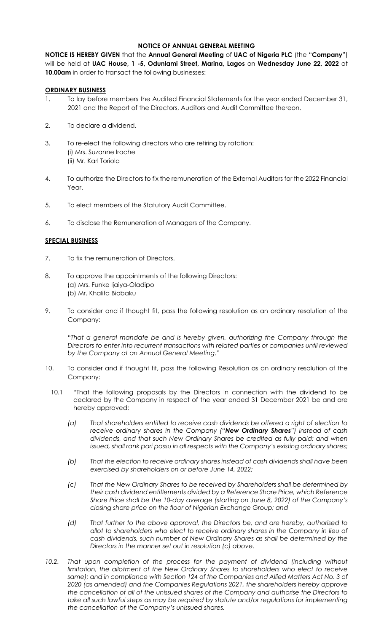### **NOTICE OF ANNUAL GENERAL MEETING**

**NOTICE IS HEREBY GIVEN** that the **Annual General Meeting** of **UAC of Nigeria PLC** (the "**Company**") will be held at **UAC House, 1 -5, Odunlami Street, Marina, Lagos** on **Wednesday June 22, 2022** at **10.00am** in order to transact the following businesses:

### **ORDINARY BUSINESS**

- 1. To lay before members the Audited Financial Statements for the year ended December 31, 2021 and the Report of the Directors, Auditors and Audit Committee thereon.
- 2. To declare a dividend.
- 3. To re-elect the following directors who are retiring by rotation: (i) Mrs. Suzanne Iroche (ii) Mr. Karl Toriola
- 4. To authorize the Directors to fix the remuneration of the External Auditors for the 2022 Financial Year.
- 5. To elect members of the Statutory Audit Committee.
- 6. To disclose the Remuneration of Managers of the Company.

### **SPECIAL BUSINESS**

- 7. To fix the remuneration of Directors.
- 8. To approve the appointments of the following Directors: (a) Mrs. Funke Ijaiya-Oladipo (b) Mr. Khalifa Biobaku
- 9. To consider and if thought fit, pass the following resolution as an ordinary resolution of the Company:

"*That a general mandate be and is hereby given, authorizing the Company through the Directors to enter into recurrent transactions with related parties or companies until reviewed by the Company at an Annual General Meeting*."

- 10. To consider and if thought fit, pass the following Resolution as an ordinary resolution of the Company:
	- 10.1 "That the following proposals by the Directors in connection with the dividend to be declared by the Company in respect of the year ended 31 December 2021 be and are hereby approved:
		- *(a) That shareholders entitled to receive cash dividends be offered a right of election to receive ordinary shares in the Company ("New Ordinary Shares") instead of cash dividends, and that such New Ordinary Shares be credited as fully paid; and when issued, shall rank pari passu in all respects with the Company's existing ordinary shares;*
		- *(b) That the election to receive ordinary shares instead of cash dividends shall have been exercised by shareholders on or before June 14, 2022;*
		- *(c) That the New Ordinary Shares to be received by Shareholders shall be determined by their cash dividend entitlements divided by a Reference Share Price, which Reference Share Price shall be the 10-day average (starting on June 8, 2022) of the Company's closing share price on the floor of Nigerian Exchange Group; and*
		- *(d) That further to the above approval, the Directors be, and are hereby, authorised to allot to shareholders who elect to receive ordinary shares in the Company in lieu of cash dividends, such number of New Ordinary Shares as shall be determined by the Directors in the manner set out in resolution (c) above.*
- 10.2. That upon completion of the process for the payment of dividend (including without *limitation, the allotment of the New Ordinary Shares to shareholders who elect to receive same); and in compliance with Section 124 of the Companies and Allied Matters Act No. 3 of 2020 (as amended) and the Companies Regulations 2021, the shareholders hereby approve the cancellation of all of the unissued shares of the Company and authorise the Directors to take all such lawful steps as may be required by statute and/or regulations for implementing the cancellation of the Company's unissued shares.*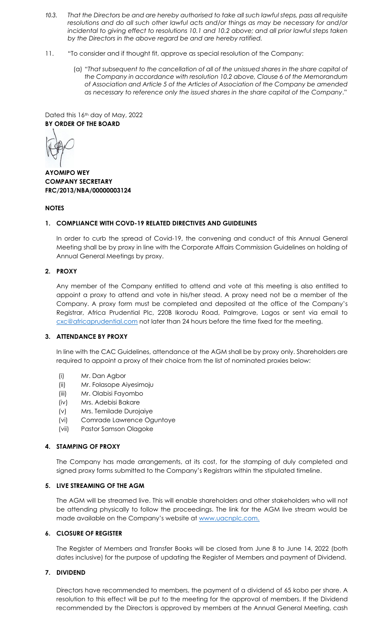- *10.3. That the Directors be and are hereby authorised to take all such lawful steps, pass all requisite resolutions and do all such other lawful acts and/or things as may be necessary for and/or incidental to giving effect to resolutions 10.1 and 10.2 above; and all prior lawful steps taken by the Directors in the above regard be and are hereby ratified.*
- 11. "To consider and if thought fit, approve as special resolution of the Company:
	- (a) "*That subsequent to the cancellation of all of the unissued shares in the share capital of the Company in accordance with resolution 10.2 above, Clause 6 of the Memorandum of Association and Article 5 of the Articles of Association of the Company be amended as necessary to reference only the issued shares in the share capital of the Company*."

Dated this 16<sup>th</sup> day of May, 2022 **BY ORDER OF THE BOARD**

**AYOMIPO WEY COMPANY SECRETARY FRC/2013/NBA/00000003124**

## **NOTES**

# **1. COMPLIANCE WITH COVD-19 RELATED DIRECTIVES AND GUIDELINES**

In order to curb the spread of Covid-19, the convening and conduct of this Annual General Meeting shall be by proxy in line with the Corporate Affairs Commission Guidelines on holding of Annual General Meetings by proxy.

# **2. PROXY**

Any member of the Company entitled to attend and vote at this meeting is also entitled to appoint a proxy to attend and vote in his/her stead. A proxy need not be a member of the Company. A proxy form must be completed and deposited at the office of the Company's Registrar, Africa Prudential Plc, 220B Ikorodu Road, Palmgrove, Lagos or sent via email to [cxc@africaprudential.com](mailto:cxc@africaprudential.com) not later than 24 hours before the time fixed for the meeting.

## **3. ATTENDANCE BY PROXY**

In line with the CAC Guidelines, attendance at the AGM shall be by proxy only. Shareholders are required to appoint a proxy of their choice from the list of nominated proxies below:

- (i) Mr. Dan Agbor
- (ii) Mr. Folasope Aiyesimoju
- (iii) Mr. Olabisi Fayombo
- (iv) Mrs. Adebisi Bakare
- (v) Mrs. Temilade Durojaiye
- (vi) Comrade Lawrence Oguntoye
- (vii) Pastor Samson Olagoke

## **4. STAMPING OF PROXY**

The Company has made arrangements, at its cost, for the stamping of duly completed and signed proxy forms submitted to the Company's Registrars within the stipulated timeline.

## **5. LIVE STREAMING OF THE AGM**

The AGM will be streamed live. This will enable shareholders and other stakeholders who will not be attending physically to follow the proceedings. The link for the AGM live stream would be made available on the Company's website at [www.uacnplc.com.](http://www.uacnplc.com/)

## **6. CLOSURE OF REGISTER**

The Register of Members and Transfer Books will be closed from June 8 to June 14, 2022 (both dates inclusive) for the purpose of updating the Register of Members and payment of Dividend.

# **7. DIVIDEND**

Directors have recommended to members, the payment of a dividend of 65 kobo per share. A resolution to this effect will be put to the meeting for the approval of members. If the Dividend recommended by the Directors is approved by members at the Annual General Meeting, cash